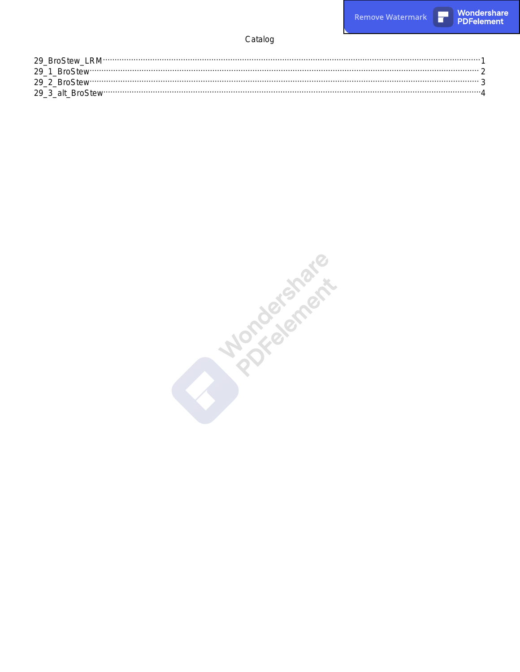**Remove Watermark** 

 $\overline{\phantom{a}}$ 

#### Catalog

**Marchardship**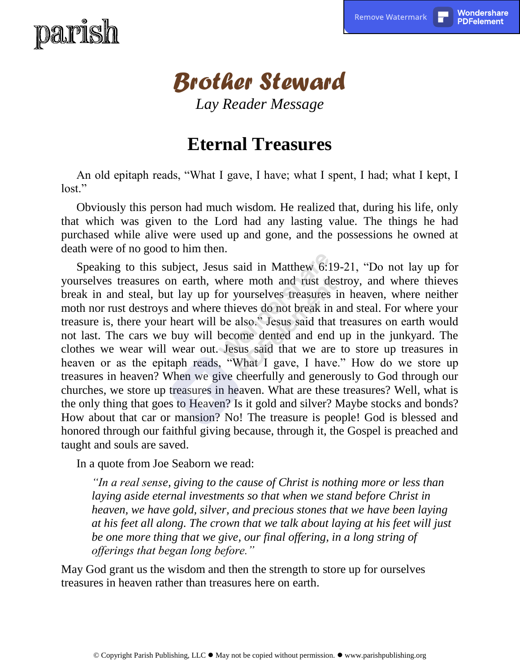# <span id="page-1-0"></span>paris



*Lay Reader Message*

#### **Eternal Treasures**

An old epitaph reads, "What I gave, I have; what I spent, I had; what I kept, I lost."

Obviously this person had much wisdom. He realized that, during his life, only that which was given to the Lord had any lasting value. The things he had purchased while alive were used up and gone, and the possessions he owned at death were of no good to him then.

Speaking to this subject, Jesus said in Matthew 6:19-21, "Do not lay up for yourselves treasures on earth, where moth and rust destroy, and where thieves break in and steal, but lay up for yourselves treasures in heaven, where neither moth nor rust destroys and where thieves do not break in and steal. For where your treasure is, there your heart will be also." Jesus said that treasures on earth would not last. The cars we buy will become dented and end up in the junkyard. The clothes we wear will wear out. Jesus said that we are to store up treasures in heaven or as the epitaph reads, "What I gave, I have." How do we store up treasures in heaven? When we give cheerfully and generously to God through our churches, we store up treasures in heaven. What are these treasures? Well, what is the only thing that goes to Heaven? Is it gold and silver? Maybe stocks and bonds? How about that car or mansion? No! The treasure is people! God is blessed and honored through our faithful giving because, through it, the Gospel is preached and taught and souls are saved.

In a quote from Joe Seaborn we read:

*"In a real sense, giving to the cause of Christ is nothing more or less than laying aside eternal investments so that when we stand before Christ in heaven, we have gold, silver, and precious stones that we have been laying at his feet all along. The crown that we talk about laying at his feet will just be one more thing that we give, our final offering, in a long string of offerings that began long before."*

May God grant us the wisdom and then the strength to store up for ourselves treasures in heaven rather than treasures here on earth.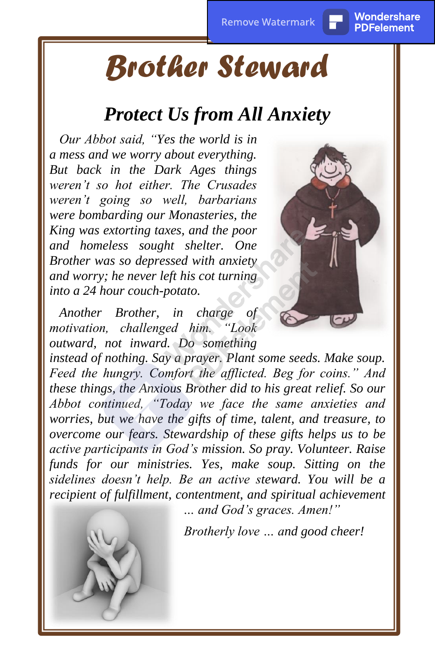## <span id="page-2-0"></span>*Brother Steward*

#### *Protect Us from All Anxiety*

*Our Abbot said, "Yes the world is in a mess and we worry about everything. But back in the Dark Ages things weren't so hot either. The Crusades weren't going so well, barbarians were bombarding our Monasteries, the King was extorting taxes, and the poor and homeless sought shelter. One Brother was so depressed with anxiety and worry; he never left his cot turning into a 24 hour couch-potato.*

*Another Brother, in charge of motivation, challenged him. "Look outward, not inward. Do something* 

*instead of nothing. Say a prayer. Plant some seeds. Make soup. Feed the hungry. Comfort the afflicted. Beg for coins." And these things, the Anxious Brother did to his great relief. So our Abbot continued, "Today we face the same anxieties and worries, but we have the gifts of time, talent, and treasure, to overcome our fears. Stewardship of these gifts helps us to be active participants in God's mission. So pray. Volunteer. Raise funds for our ministries. Yes, make soup. Sitting on the sidelines doesn't help. Be an active steward. You will be a recipient of fulfillment, contentment, and spiritual achievement* 

*… and God's graces. Amen!"*

*Brotherly love … and good cheer!*



PDFelement

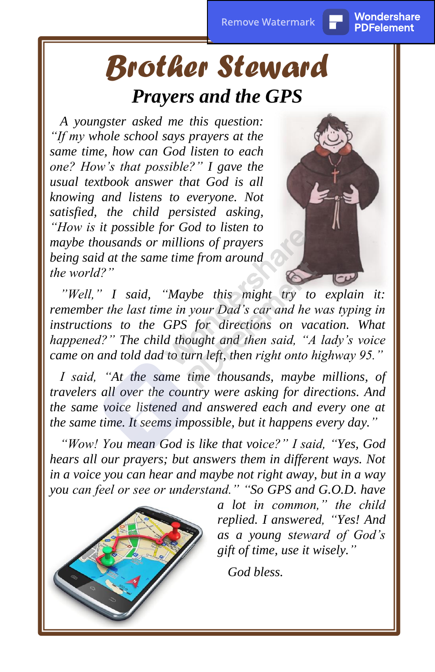### <span id="page-3-0"></span>*Brother Steward Prayers and the GPS*

*A youngster asked me this question: "If my whole school says prayers at the same time, how can God listen to each one? How's that possible?" I gave the usual textbook answer that God is all knowing and listens to everyone. Not satisfied, the child persisted asking, "How is it possible for God to listen to maybe thousands or millions of prayers being said at the same time from around the world?"*



PDFelement

*"Well," I said, "Maybe this might try to explain it: remember the last time in your Dad's car and he was typing in instructions to the GPS for directions on vacation. What happened?" The child thought and then said, "A lady's voice came on and told dad to turn left, then right onto highway 95."*

*I said, "At the same time thousands, maybe millions, of travelers all over the country were asking for directions. And the same voice listened and answered each and every one at the same time. It seems impossible, but it happens every day."*

*"Wow! You mean God is like that voice?" I said, "Yes, God hears all our prayers; but answers them in different ways. Not in a voice you can hear and maybe not right away, but in a way you can feel or see or understand." "So GPS and G.O.D. have* 



*a lot in common," the child replied. I answered, "Yes! And as a young steward of God's gift of time, use it wisely."*

*God bless.*